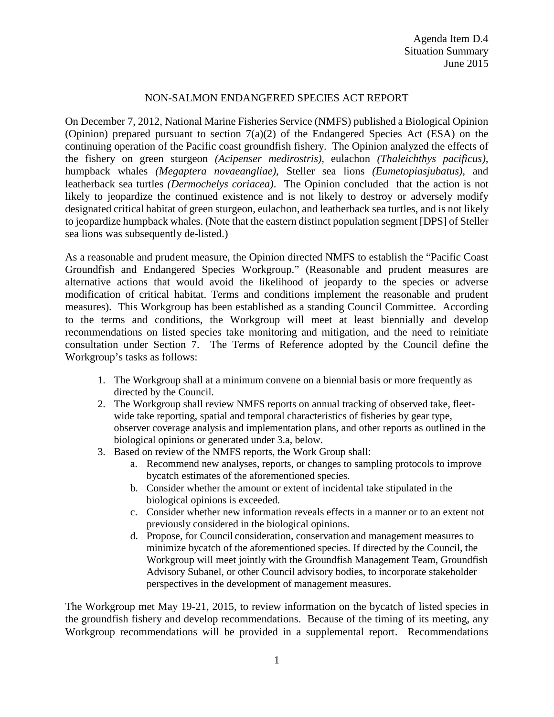## NON-SALMON ENDANGERED SPECIES ACT REPORT

On December 7, 2012, National Marine Fisheries Service (NMFS) published a Biological Opinion (Opinion) prepared pursuant to section 7(a)(2) of the Endangered Species Act (ESA) on the continuing operation of the Pacific coast groundfish fishery. The Opinion analyzed the effects of the fishery on green sturgeon *(Acipenser medirostris),* eulachon *(Thaleichthys pacificus),*  humpback whales *(Megaptera novaeangliae),* Steller sea lions *(Eumetopiasjubatus),* and leatherback sea turtles *(Dermochelys coriacea)*. The Opinion concluded that the action is not likely to jeopardize the continued existence and is not likely to destroy or adversely modify designated critical habitat of green sturgeon, eulachon, and leatherback sea turtles, and is not likely to jeopardize humpback whales. (Note that the eastern distinct population segment [DPS] of Steller sea lions was subsequently de-listed.)

As a reasonable and prudent measure, the Opinion directed NMFS to establish the "Pacific Coast Groundfish and Endangered Species Workgroup." (Reasonable and prudent measures are alternative actions that would avoid the likelihood of jeopardy to the species or adverse modification of critical habitat. Terms and conditions implement the reasonable and prudent measures). This Workgroup has been established as a standing Council Committee. According to the terms and conditions, the Workgroup will meet at least biennially and develop recommendations on listed species take monitoring and mitigation, and the need to reinitiate consultation under Section 7. The Terms of Reference adopted by the Council define the Workgroup's tasks as follows:

- 1. The Workgroup shall at a minimum convene on a biennial basis or more frequently as directed by the Council.
- 2. The Workgroup shall review NMFS reports on annual tracking of observed take, fleetwide take reporting, spatial and temporal characteristics of fisheries by gear type, observer coverage analysis and implementation plans, and other reports as outlined in the biological opinions or generated under 3.a, below.
- 3. Based on review of the NMFS reports, the Work Group shall:
	- a. Recommend new analyses, reports, or changes to sampling protocols to improve bycatch estimates of the aforementioned species.
	- b. Consider whether the amount or extent of incidental take stipulated in the biological opinions is exceeded.
	- c. Consider whether new information reveals effects in a manner or to an extent not previously considered in the biological opinions.
	- d. Propose, for Council consideration, conservation and management measures to minimize bycatch of the aforementioned species. If directed by the Council, the Workgroup will meet jointly with the Groundfish Management Team, Groundfish Advisory Subanel, or other Council advisory bodies, to incorporate stakeholder perspectives in the development of management measures.

The Workgroup met May 19-21, 2015, to review information on the bycatch of listed species in the groundfish fishery and develop recommendations. Because of the timing of its meeting, any Workgroup recommendations will be provided in a supplemental report. Recommendations